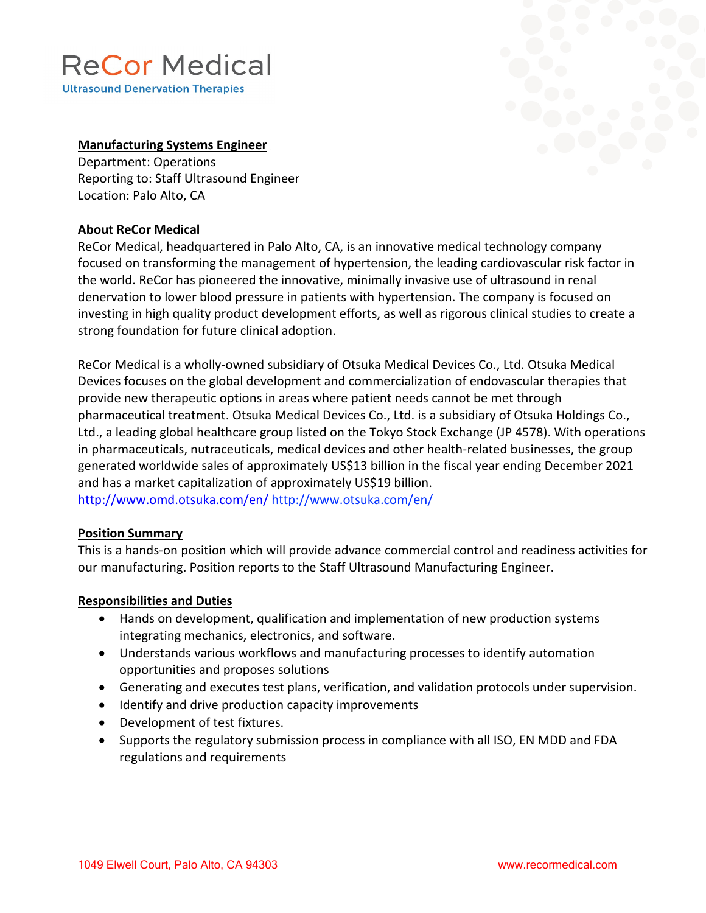# **ReCor Medical**

**Ultrasound Denervation Therapies** 

### **Manufacturing Systems Engineer**

Department: Operations Reporting to: Staff Ultrasound Engineer Location: Palo Alto, CA

### **About ReCor Medical**

ReCor Medical, headquartered in Palo Alto, CA, is an innovative medical technology company focused on transforming the management of hypertension, the leading cardiovascular risk factor in the world. ReCor has pioneered the innovative, minimally invasive use of ultrasound in renal denervation to lower blood pressure in patients with hypertension. The company is focused on investing in high quality product development efforts, as well as rigorous clinical studies to create a strong foundation for future clinical adoption.

ReCor Medical is a wholly-owned subsidiary of Otsuka Medical Devices Co., Ltd. Otsuka Medical Devices focuses on the global development and commercialization of endovascular therapies that provide new therapeutic options in areas where patient needs cannot be met through pharmaceutical treatment. Otsuka Medical Devices Co., Ltd. is a subsidiary of Otsuka Holdings Co., Ltd., a leading global healthcare group listed on the Tokyo Stock Exchange (JP 4578). With operations in pharmaceuticals, nutraceuticals, medical devices and other health-related businesses, the group generated worldwide sales of approximately US\$13 billion in the fiscal year ending December 2021 and has a market capitalization of approximately US\$19 billion. <http://www.omd.otsuka.com/en/> <http://www.otsuka.com/en/>

### **Position Summary**

This is a hands-on position which will provide advance commercial control and readiness activities for our manufacturing. Position reports to the Staff Ultrasound Manufacturing Engineer.

### **Responsibilities and Duties**

- Hands on development, qualification and implementation of new production systems integrating mechanics, electronics, and software.
- Understands various workflows and manufacturing processes to identify automation opportunities and proposes solutions
- Generating and executes test plans, verification, and validation protocols under supervision.
- Identify and drive production capacity improvements
- Development of test fixtures.
- Supports the regulatory submission process in compliance with all ISO, EN MDD and FDA regulations and requirements